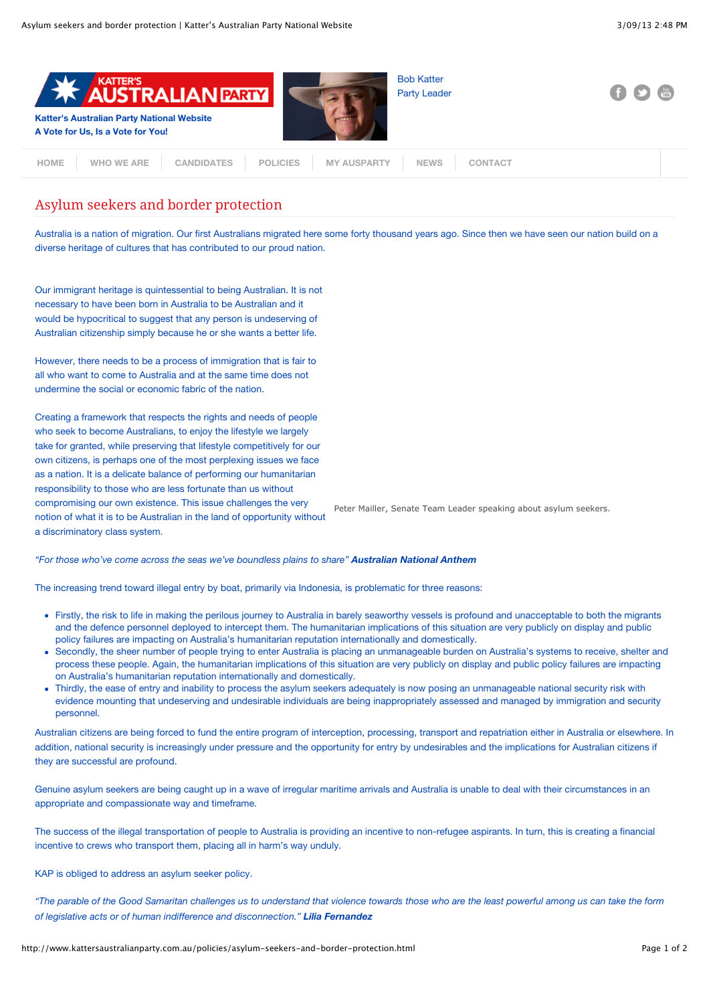

## Asylum seekers and border protection

Australia is a nation of migration. Our first Australians migrated here some forty thousand years ago. Since then we have seen our nation build on a diverse heritage of cultures that has contributed to our proud nation.

Our immigrant heritage is quintessential to being Australian. It is not necessary to have been born in Australia to be Australian and it would be hypocritical to suggest that any person is undeserving of Australian citizenship simply because he or she wants a better life.

However, there needs to be a process of immigration that is fair to all who want to come to Australia and at the same time does not undermine the social or economic fabric of the nation.

Creating a framework that respects the rights and needs of people who seek to become Australians, to enjoy the lifestyle we largely take for granted, while preserving that lifestyle competitively for our own citizens, is perhaps one of the most perplexing issues we face as a nation. It is a delicate balance of performing our humanitarian responsibility to those who are less fortunate than us without compromising our own existence. This issue challenges the very notion of what it is to be Australian in the land of opportunity without a discriminatory class system.

Peter Mailler, Senate Team Leader speaking about asylum seekers.

*"For those who've come across the seas we've boundless plains to share" Australian National Anthem*

The increasing trend toward illegal entry by boat, primarily via Indonesia, is problematic for three reasons:

- Firstly, the risk to life in making the perilous journey to Australia in barely seaworthy vessels is profound and unacceptable to both the migrants and the defence personnel deployed to intercept them. The humanitarian implications of this situation are very publicly on display and public policy failures are impacting on Australia's humanitarian reputation internationally and domestically.
- Secondly, the sheer number of people trying to enter Australia is placing an unmanageable burden on Australia's systems to receive, shelter and process these people. Again, the humanitarian implications of this situation are very publicly on display and public policy failures are impacting on Australia's humanitarian reputation internationally and domestically.
- Thirdly, the ease of entry and inability to process the asylum seekers adequately is now posing an unmanageable national security risk with evidence mounting that undeserving and undesirable individuals are being inappropriately assessed and managed by immigration and security personnel.

Australian citizens are being forced to fund the entire program of interception, processing, transport and repatriation either in Australia or elsewhere. In addition, national security is increasingly under pressure and the opportunity for entry by undesirables and the implications for Australian citizens if they are successful are profound.

Genuine asylum seekers are being caught up in a wave of irregular maritime arrivals and Australia is unable to deal with their circumstances in an appropriate and compassionate way and timeframe.

The success of the illegal transportation of people to Australia is providing an incentive to non-refugee aspirants. In turn, this is creating a financial incentive to crews who transport them, placing all in harm's way unduly.

KAP is obliged to address an asylum seeker policy.

*"The parable of the Good Samaritan challenges us to understand that violence towards those who are the least powerful among us can take the form of legislative acts or of human indifference and disconnection." Lilia Fernandez*